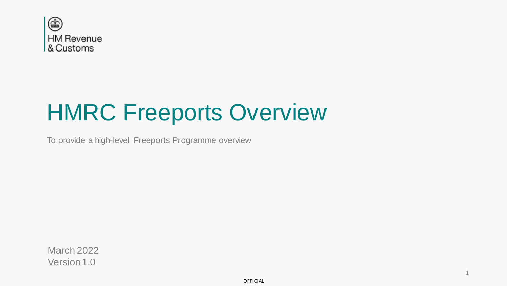

# HMRC Freeports Overview

To provide a high-level Freeports Programme overview

March 2022 Version 1.0

1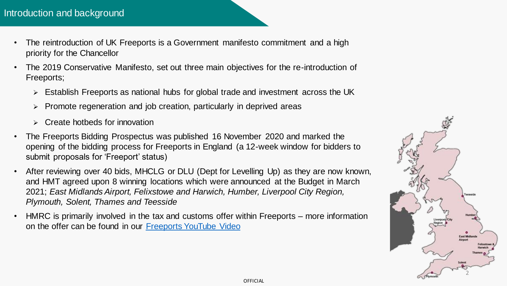- The reintroduction of UK Freeports is a Government manifesto commitment and a high priority for the Chancellor
- The 2019 Conservative Manifesto, set out three main objectives for the re-introduction of Freeports;
	- ➢ Establish Freeports as national hubs for global trade and investment across the UK
	- ➢ Promote regeneration and job creation, particularly in deprived areas
	- ➢ Create hotbeds for innovation
- The Freeports Bidding Prospectus was published 16 November 2020 and marked the opening of the bidding process for Freeports in England (a 12-week window for bidders to submit proposals for 'Freeport' status)
- After reviewing over 40 bids, MHCLG or DLU (Dept for Levelling Up) as they are now known, and HMT agreed upon 8 winning locations which were announced at the Budget in March 2021; *East Midlands Airport, Felixstowe and Harwich, Humber, Liverpool City Region, Plymouth, Solent, Thames and Teesside*
- HMRC is primarily involved in the tax and customs offer within Freeports more information on the offer can be found in our [Freeports YouTube Video](https://www.youtube.com/watch?v=5hDd1qmMHS0)

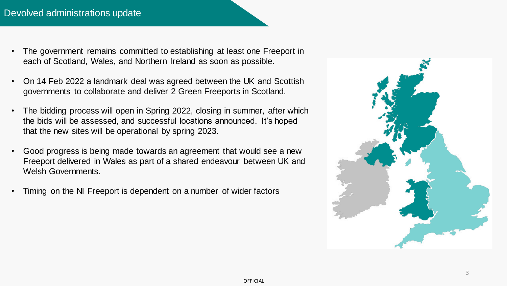- The government remains committed to establishing at least one Freeport in each of Scotland, Wales, and Northern Ireland as soon as possible.
- On 14 Feb 2022 a landmark deal was agreed between the UK and Scottish governments to collaborate and deliver 2 Green Freeports in Scotland.
- The bidding process will open in Spring 2022, closing in summer, after which the bids will be assessed, and successful locations announced. It's hoped that the new sites will be operational by spring 2023.
- Good progress is being made towards an agreement that would see a new Freeport delivered in Wales as part of a shared endeavour between UK and Welsh Governments.
- Timing on the NI Freeport is dependent on a number of wider factors

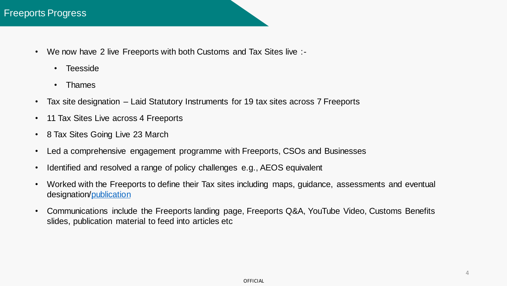- We now have 2 live Freeports with both Customs and Tax Sites live :-
	- Teesside
	- Thames
- Tax site designation Laid Statutory Instruments for 19 tax sites across 7 Freeports
- 11 Tax Sites Live across 4 Freeports
- 8 Tax Sites Going Live 23 March
- Led a comprehensive engagement programme with Freeports, CSOs and Businesses
- Identified and resolved a range of policy challenges e.g., AEOS equivalent
- Worked with the Freeports to define their Tax sites including maps, guidance, assessments and eventual designation/[publication](https://www.gov.uk/government/collections/maps-of-freeports-and-freeport-tax-sites)
- Communications include the Freeports landing page, Freeports Q&A, YouTube Video, Customs Benefits slides, publication material to feed into articles etc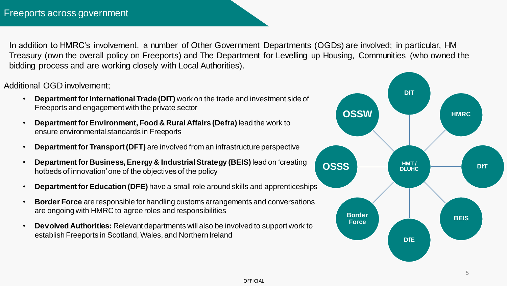In addition to HMRC's involvement, a number of Other Government Departments (OGDs) are involved; in particular, HM Treasury (own the overall policy on Freeports) and The Department for Levelling up Housing, Communities (who owned the bidding process and are working closely with Local Authorities).

Additional OGD involvement;

- **Department for International Trade (DIT)** work on the trade and investment side of Freeports and engagement with the private sector
- **Department for Environment, Food & Rural Affairs (Defra)** lead the work to ensure environmental standards in Freeports
- **Department for Transport (DFT)** are involved from an infrastructure perspective
- **Department for Business, Energy & Industrial Strategy (BEIS)** lead on 'creating hotbeds of innovation' one of the objectives of the policy
- **Department for Education (DFE)** have a small role around skills and apprenticeships
- **Border Force** are responsible for handling customs arrangements and conversations are ongoing with HMRC to agree roles and responsibilities
- **Devolved Authorities:** Relevant departments will also be involved to support work to establish Freeports in Scotland, Wales, and Northern Ireland



5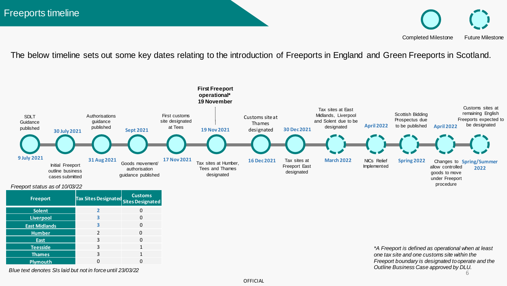Completed Milestone Future Milestone

The below timeline sets out some key dates relating to the introduction of Freeports in England and Green Freeports in Scotland.



*Freeport status as of 10/03/22*

| Freeport             | <b>Tax Sites Designated</b> | <b>Customs</b><br><b>Sites Designated</b> |
|----------------------|-----------------------------|-------------------------------------------|
| <b>Solent</b>        | $\mathbf{z}$                | 0                                         |
| <b>Liverpool</b>     | З                           | 0                                         |
| <b>East Midlands</b> | 3                           | 0                                         |
| <b>Humber</b>        | $\mathfrak{D}$              | ŋ                                         |
| <b>East</b>          | 3                           | 0                                         |
| <b>Teesside</b>      | 3                           | 1                                         |
| <b>Thames</b>        | 3                           | 1                                         |
| <b>Plymouth</b>      | ŋ                           | n                                         |

*Blue text denotes SIs laid but not in force until 23/03/22*

6 *\*A Freeport is defined as operational when at least one tax site and one customs site within the Freeport boundary is designated to operate and the Outline Business Case approved by DLU.*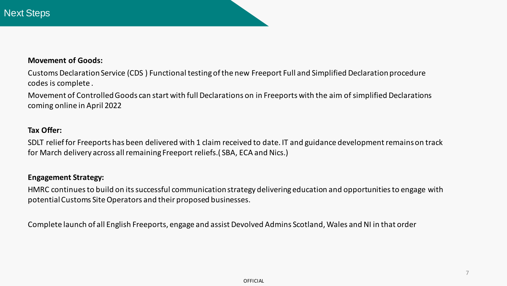#### **Movement of Goods:**

Customs Declaration Service (CDS ) Functional testing of the new Freeport Full and Simplified Declaration procedure codes is complete .

Movement of Controlled Goods can start with full Declarations on in Freeports with the aim of simplified Declarations coming online in April 2022

## **Tax Offer:**

SDLT relief for Freeports has been delivered with 1 claim received to date. IT and guidance development remains on track for March delivery across all remaining Freeport reliefs.( SBA, ECA and Nics.)

#### **Engagement Strategy:**

HMRC continues to build on its successful communication strategy delivering education and opportunities to engage with potential Customs Site Operators and their proposed businesses.

Complete launch of all English Freeports, engage and assist Devolved Admins Scotland, Wales and NI in that order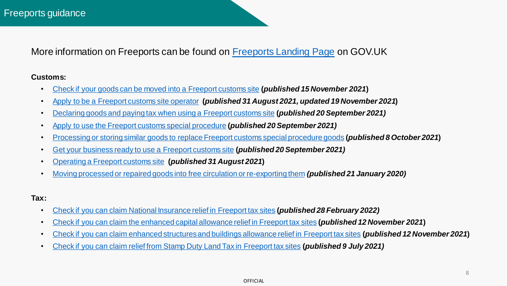More information on Freeports can be found on [Freeports Landing Page](https://www.gov.uk/guidance/freeports) on GOV.UK

#### **Customs:**

- [Check if your goods can be moved into a Freeport customs site](https://eur03.safelinks.protection.outlook.com/?url=https%3A%2F%2Fwww.gov.uk%2Fguidance%2Fcheck-if-your-goods-can-be-moved-into-a-freeport-customs-site&data=04%7C01%7Chmrcfreeports%40hmrc.gov.uk%7Cd5e94b410280454e225c08d9b0be002c%7Cac52f73cfd1a4a9a8e7a4a248f3139e1%7C0%7C0%7C637735152348660222%7CUnknown%7CTWFpbGZsb3d8eyJWIjoiMC4wLjAwMDAiLCJQIjoiV2luMzIiLCJBTiI6Ik1haWwiLCJXVCI6Mn0%3D%7C3000&sdata=KMxTUyZUVk%2BOXlnTqHxPZWUo2K%2BlWer5tYl2tdbWtgM%3D&reserved=0) **(***published 15 November 2021***)**
- [Apply to be a Freeport customs site operator](https://www.gov.uk/guidance/apply-to-be-a-freeport-customs-site-operator) **(***published 31 August 2021, updated 19 November 2021***)**
- [Declaring goods and paying tax when using a Freeport customs site](https://eur03.safelinks.protection.outlook.com/?url=https%3A%2F%2Fwww.gov.uk%2Fguidance%2Fdeclaring-goods-and-paying-tax-when-using-a-freeport-customs-site&data=04%7C01%7Chmrcfreeports%40hmrc.gov.uk%7Cd5e94b410280454e225c08d9b0be002c%7Cac52f73cfd1a4a9a8e7a4a248f3139e1%7C0%7C0%7C637735152348660222%7CUnknown%7CTWFpbGZsb3d8eyJWIjoiMC4wLjAwMDAiLCJQIjoiV2luMzIiLCJBTiI6Ik1haWwiLCJXVCI6Mn0%3D%7C3000&sdata=1HZ2BlsCL8z0DjK%2Fk5hzEpkTxz5pJT34aErEOsk5dbc%3D&reserved=0) **(***published 20 September 2021)*
- [Apply to use the Freeport customs special procedure](https://eur03.safelinks.protection.outlook.com/?url=https%3A%2F%2Fwww.gov.uk%2Fguidance%2Fapply-to-use-the-freeport-customs-special-procedure&data=04%7C01%7Chmrcfreeports%40hmrc.gov.uk%7Cd5e94b410280454e225c08d9b0be002c%7Cac52f73cfd1a4a9a8e7a4a248f3139e1%7C0%7C0%7C637735152348670176%7CUnknown%7CTWFpbGZsb3d8eyJWIjoiMC4wLjAwMDAiLCJQIjoiV2luMzIiLCJBTiI6Ik1haWwiLCJXVCI6Mn0%3D%7C3000&sdata=YdYehjXrsSbu7zwPseXjJFTGtQv8sLjKz6O%2Bz9ZSGwE%3D&reserved=0) **(***published 20 September 2021)*
- [Processing or storing similar goods to replace Freeport customs special procedure goods](https://eur03.safelinks.protection.outlook.com/?url=https%3A%2F%2Fwww.gov.uk%2Fguidance%2Fprocessing-or-storing-identical-goods-to-replace-freeport-customs-special-procedure-goods%23history&data=04%7C01%7Chmrcfreeports%40hmrc.gov.uk%7Cd5e94b410280454e225c08d9b0be002c%7Cac52f73cfd1a4a9a8e7a4a248f3139e1%7C0%7C0%7C637735152348670176%7CUnknown%7CTWFpbGZsb3d8eyJWIjoiMC4wLjAwMDAiLCJQIjoiV2luMzIiLCJBTiI6Ik1haWwiLCJXVCI6Mn0%3D%7C3000&sdata=GIXTTu3vR4VLjlqWf8P%2FRLG8wD95OIePva%2F2PWNQQAI%3D&reserved=0) **(***published 8 October 2021***)**
- [Get your business ready to use a Freeport customs site](https://eur03.safelinks.protection.outlook.com/?url=https%3A%2F%2Fwww.gov.uk%2Fguidance%2Fget-your-business-ready-to-use-a-freeport-customs-site%23history&data=04%7C01%7Chmrcfreeports%40hmrc.gov.uk%7Cd5e94b410280454e225c08d9b0be002c%7Cac52f73cfd1a4a9a8e7a4a248f3139e1%7C0%7C0%7C637735152348680127%7CUnknown%7CTWFpbGZsb3d8eyJWIjoiMC4wLjAwMDAiLCJQIjoiV2luMzIiLCJBTiI6Ik1haWwiLCJXVCI6Mn0%3D%7C3000&sdata=6w9wAXtyl6MHz4Tk97Vm3wxcYmK9U5IVOWs9M4qGNbM%3D&reserved=0) **(***published 20 September 2021)*
- [Operating a Freeport customs site](https://eur03.safelinks.protection.outlook.com/?url=https%3A%2F%2Fwww.gov.uk%2Fguidance%2Foperating-a-freeport-customs-site&data=04%7C01%7Chmrcfreeports%40hmrc.gov.uk%7Cd5e94b410280454e225c08d9b0be002c%7Cac52f73cfd1a4a9a8e7a4a248f3139e1%7C0%7C0%7C637735152348680127%7CUnknown%7CTWFpbGZsb3d8eyJWIjoiMC4wLjAwMDAiLCJQIjoiV2luMzIiLCJBTiI6Ik1haWwiLCJXVCI6Mn0%3D%7C3000&sdata=2xx5BusAmDmdoHCBbhnLYR9%2F0FX5pPjp6APINdOnmbs%3D&reserved=0) **(***published 31 August 2021***)**
- [Moving processed or repaired goods into free circulation or re-exporting them](https://eur03.safelinks.protection.outlook.com/?url=https%3A%2F%2Fwww.gov.uk%2Fguidance%2Fmoving-processed-or-repaired-goods-into-free-circulation-or-re-exporting-them%23history&data=04%7C01%7Chmrcfreeports%40hmrc.gov.uk%7Cd5e94b410280454e225c08d9b0be002c%7Cac52f73cfd1a4a9a8e7a4a248f3139e1%7C0%7C0%7C637735152348680127%7CUnknown%7CTWFpbGZsb3d8eyJWIjoiMC4wLjAwMDAiLCJQIjoiV2luMzIiLCJBTiI6Ik1haWwiLCJXVCI6Mn0%3D%7C3000&sdata=9ci0HYG%2BvSTUq%2B7K2VtP8aeD%2B8xmsl4PhVOXOt%2FNr2E%3D&reserved=0) *(published 21 January 2020)*

### **Tax:**

- [Check if you can claim National Insurance relief in Freeport tax sites](https://www.gov.uk/guidance/check-if-you-can-claim-national-insurance-relief-in-freeport-tax-sites) **(***published 28 February 2022)*
- [Check if you can claim the enhanced capital allowance relief in Freeport tax sites](https://eur03.safelinks.protection.outlook.com/?url=https%3A%2F%2Fwww.gov.uk%2Fguidance%2Fcheck-if-you-can-claim-the-enhanced-capital-allowance-relief-in-freeport-tax-sites&data=04%7C01%7Chmrcfreeports%40hmrc.gov.uk%7Cd5e94b410280454e225c08d9b0be002c%7Cac52f73cfd1a4a9a8e7a4a248f3139e1%7C0%7C0%7C637735152348690088%7CUnknown%7CTWFpbGZsb3d8eyJWIjoiMC4wLjAwMDAiLCJQIjoiV2luMzIiLCJBTiI6Ik1haWwiLCJXVCI6Mn0%3D%7C3000&sdata=GFnNQSsnww4HSnygtNjwU25HbbJ6P8Og0Cn8Pglp%2BRw%3D&reserved=0) **(***published 12 November 2021***)**
- [Check if you can claim enhanced structures and buildings allowance relief in Freeport tax sites](https://eur03.safelinks.protection.outlook.com/?url=https%3A%2F%2Fwww.gov.uk%2Fguidance%2Fcheck-if-you-can-claim-enhanced-structures-and-buildings-allowance-relief-in-freeport-tax-sites&data=04%7C01%7Chmrcfreeports%40hmrc.gov.uk%7Cd5e94b410280454e225c08d9b0be002c%7Cac52f73cfd1a4a9a8e7a4a248f3139e1%7C0%7C0%7C637735152348690088%7CUnknown%7CTWFpbGZsb3d8eyJWIjoiMC4wLjAwMDAiLCJQIjoiV2luMzIiLCJBTiI6Ik1haWwiLCJXVCI6Mn0%3D%7C3000&sdata=923%2Fh%2BHvRc3qSsnVwNcGa%2FilJevg1UXGvQ9G2aBe8js%3D&reserved=0) **(***published 12 November 2021***)**
- [Check if you can claim relief from Stamp Duty Land Tax in Freeport tax sites](https://eur03.safelinks.protection.outlook.com/?url=https%3A%2F%2Fwww.gov.uk%2Fguidance%2Fcheck-if-you-can-claim-relief-from-stamp-duty-land-tax-in-freeport-tax-sites&data=04%7C01%7Chmrcfreeports%40hmrc.gov.uk%7Cd5e94b410280454e225c08d9b0be002c%7Cac52f73cfd1a4a9a8e7a4a248f3139e1%7C0%7C0%7C637735152348700049%7CUnknown%7CTWFpbGZsb3d8eyJWIjoiMC4wLjAwMDAiLCJQIjoiV2luMzIiLCJBTiI6Ik1haWwiLCJXVCI6Mn0%3D%7C3000&sdata=WFJyTvq5VPSaZlboLuPbt8G2ier%2Bor5mVaVzUo3f4fY%3D&reserved=0) **(***published 9 July 2021)*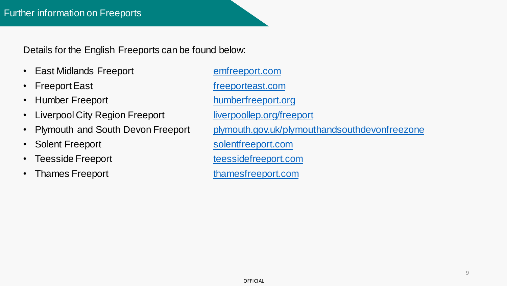Details for the English Freeports can be found below:

- East Midlands Freeport [emfreeport.com](https://www.emfreeport.com/)
- Freeport East **[freeporteast.com](https://www.freeporteast.com/)**
- Humber Freeport [humberfreeport.org](https://humberfreeport.org/)
- Liverpool City Region Freeport [liverpoollep.org/freeport](https://liverpoollep.org/freeport/)
- 
- Solent Freeport [solentfreeport.com](https://www.solentfreeport.com/)
- Teesside Freeport the [teessidefreeport.com](https://www.teessidefreeport.com/)
- Thames Freeport [thamesfreeport.com](https://thamesfreeport.com/)

• Plymouth and South Devon Freeport [plymouth.gov.uk/plymouthandsouthdevonfreezone](https://www.plymouth.gov.uk/plymouthandsouthdevonfreeport)